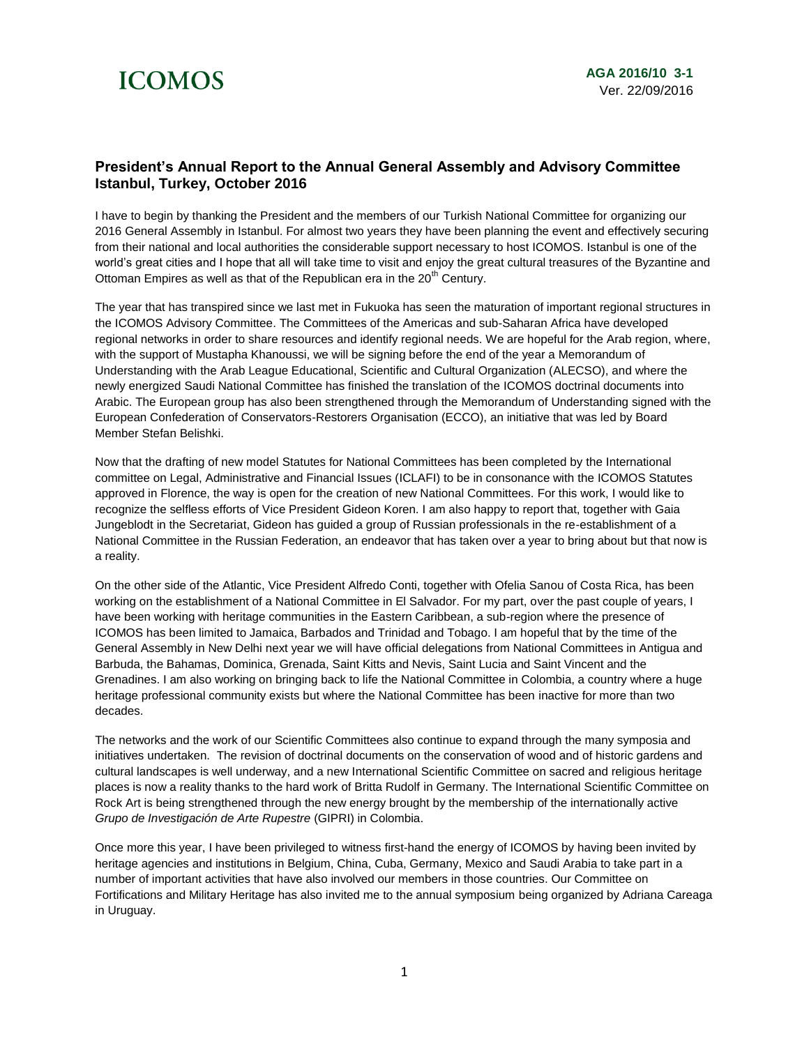## **ICOMOS**

## **President's Annual Report to the Annual General Assembly and Advisory Committee Istanbul, Turkey, October 2016**

I have to begin by thanking the President and the members of our Turkish National Committee for organizing our 2016 General Assembly in Istanbul. For almost two years they have been planning the event and effectively securing from their national and local authorities the considerable support necessary to host ICOMOS. Istanbul is one of the world's great cities and I hope that all will take time to visit and enjoy the great cultural treasures of the Byzantine and Ottoman Empires as well as that of the Republican era in the 20<sup>th</sup> Century.

The year that has transpired since we last met in Fukuoka has seen the maturation of important regional structures in the ICOMOS Advisory Committee. The Committees of the Americas and sub-Saharan Africa have developed regional networks in order to share resources and identify regional needs. We are hopeful for the Arab region, where, with the support of Mustapha Khanoussi, we will be signing before the end of the year a Memorandum of Understanding with the Arab League Educational, Scientific and Cultural Organization (ALECSO), and where the newly energized Saudi National Committee has finished the translation of the ICOMOS doctrinal documents into Arabic. The European group has also been strengthened through the Memorandum of Understanding signed with the European Confederation of Conservators-Restorers Organisation (ECCO), an initiative that was led by Board Member Stefan Belishki.

Now that the drafting of new model Statutes for National Committees has been completed by the International committee on Legal, Administrative and Financial Issues (ICLAFI) to be in consonance with the ICOMOS Statutes approved in Florence, the way is open for the creation of new National Committees. For this work, I would like to recognize the selfless efforts of Vice President Gideon Koren. I am also happy to report that, together with Gaia Jungeblodt in the Secretariat, Gideon has guided a group of Russian professionals in the re-establishment of a National Committee in the Russian Federation, an endeavor that has taken over a year to bring about but that now is a reality.

On the other side of the Atlantic, Vice President Alfredo Conti, together with Ofelia Sanou of Costa Rica, has been working on the establishment of a National Committee in El Salvador. For my part, over the past couple of years, I have been working with heritage communities in the Eastern Caribbean, a sub-region where the presence of ICOMOS has been limited to Jamaica, Barbados and Trinidad and Tobago. I am hopeful that by the time of the General Assembly in New Delhi next year we will have official delegations from National Committees in Antigua and Barbuda, the Bahamas, Dominica, Grenada, Saint Kitts and Nevis, Saint Lucia and Saint Vincent and the Grenadines. I am also working on bringing back to life the National Committee in Colombia, a country where a huge heritage professional community exists but where the National Committee has been inactive for more than two decades.

The networks and the work of our Scientific Committees also continue to expand through the many symposia and initiatives undertaken. The revision of doctrinal documents on the conservation of wood and of historic gardens and cultural landscapes is well underway, and a new International Scientific Committee on sacred and religious heritage places is now a reality thanks to the hard work of Britta Rudolf in Germany. The International Scientific Committee on Rock Art is being strengthened through the new energy brought by the membership of the internationally active *Grupo de Investigación de Arte Rupestre* (GIPRI) in Colombia.

Once more this year, I have been privileged to witness first-hand the energy of ICOMOS by having been invited by heritage agencies and institutions in Belgium, China, Cuba, Germany, Mexico and Saudi Arabia to take part in a number of important activities that have also involved our members in those countries. Our Committee on Fortifications and Military Heritage has also invited me to the annual symposium being organized by Adriana Careaga in Uruguay.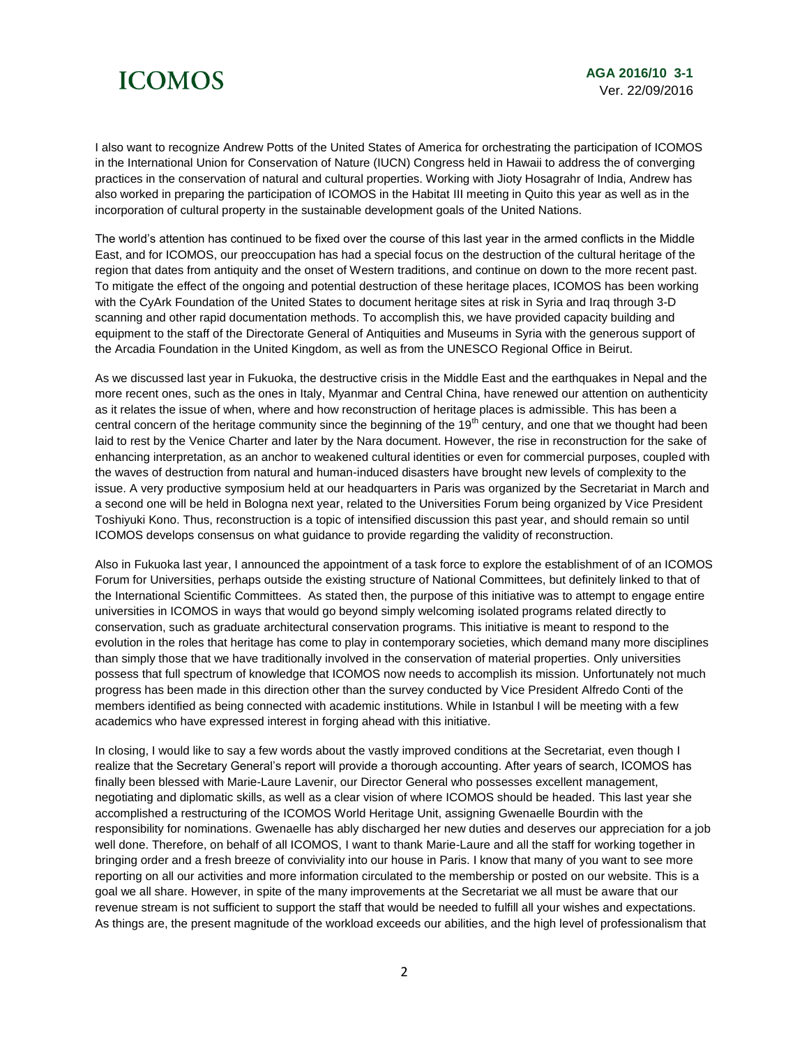## **ICOMOS**

I also want to recognize Andrew Potts of the United States of America for orchestrating the participation of ICOMOS in the International Union for Conservation of Nature (IUCN) Congress held in Hawaii to address the of converging practices in the conservation of natural and cultural properties. Working with Jioty Hosagrahr of India, Andrew has also worked in preparing the participation of ICOMOS in the Habitat III meeting in Quito this year as well as in the incorporation of cultural property in the sustainable development goals of the United Nations.

The world's attention has continued to be fixed over the course of this last year in the armed conflicts in the Middle East, and for ICOMOS, our preoccupation has had a special focus on the destruction of the cultural heritage of the region that dates from antiquity and the onset of Western traditions, and continue on down to the more recent past. To mitigate the effect of the ongoing and potential destruction of these heritage places, ICOMOS has been working with the CyArk Foundation of the United States to document heritage sites at risk in Syria and Iraq through 3-D scanning and other rapid documentation methods. To accomplish this, we have provided capacity building and equipment to the staff of the Directorate General of Antiquities and Museums in Syria with the generous support of the Arcadia Foundation in the United Kingdom, as well as from the UNESCO Regional Office in Beirut.

As we discussed last year in Fukuoka, the destructive crisis in the Middle East and the earthquakes in Nepal and the more recent ones, such as the ones in Italy, Myanmar and Central China, have renewed our attention on authenticity as it relates the issue of when, where and how reconstruction of heritage places is admissible. This has been a central concern of the heritage community since the beginning of the  $19<sup>th</sup>$  century, and one that we thought had been laid to rest by the Venice Charter and later by the Nara document. However, the rise in reconstruction for the sake of enhancing interpretation, as an anchor to weakened cultural identities or even for commercial purposes, coupled with the waves of destruction from natural and human-induced disasters have brought new levels of complexity to the issue. A very productive symposium held at our headquarters in Paris was organized by the Secretariat in March and a second one will be held in Bologna next year, related to the Universities Forum being organized by Vice President Toshiyuki Kono. Thus, reconstruction is a topic of intensified discussion this past year, and should remain so until ICOMOS develops consensus on what guidance to provide regarding the validity of reconstruction.

Also in Fukuoka last year, I announced the appointment of a task force to explore the establishment of of an ICOMOS Forum for Universities, perhaps outside the existing structure of National Committees, but definitely linked to that of the International Scientific Committees. As stated then, the purpose of this initiative was to attempt to engage entire universities in ICOMOS in ways that would go beyond simply welcoming isolated programs related directly to conservation, such as graduate architectural conservation programs. This initiative is meant to respond to the evolution in the roles that heritage has come to play in contemporary societies, which demand many more disciplines than simply those that we have traditionally involved in the conservation of material properties. Only universities possess that full spectrum of knowledge that ICOMOS now needs to accomplish its mission. Unfortunately not much progress has been made in this direction other than the survey conducted by Vice President Alfredo Conti of the members identified as being connected with academic institutions. While in Istanbul I will be meeting with a few academics who have expressed interest in forging ahead with this initiative.

In closing, I would like to say a few words about the vastly improved conditions at the Secretariat, even though I realize that the Secretary General's report will provide a thorough accounting. After years of search, ICOMOS has finally been blessed with Marie-Laure Lavenir, our Director General who possesses excellent management, negotiating and diplomatic skills, as well as a clear vision of where ICOMOS should be headed. This last year she accomplished a restructuring of the ICOMOS World Heritage Unit, assigning Gwenaelle Bourdin with the responsibility for nominations. Gwenaelle has ably discharged her new duties and deserves our appreciation for a job well done. Therefore, on behalf of all ICOMOS, I want to thank Marie-Laure and all the staff for working together in bringing order and a fresh breeze of conviviality into our house in Paris. I know that many of you want to see more reporting on all our activities and more information circulated to the membership or posted on our website. This is a goal we all share. However, in spite of the many improvements at the Secretariat we all must be aware that our revenue stream is not sufficient to support the staff that would be needed to fulfill all your wishes and expectations. As things are, the present magnitude of the workload exceeds our abilities, and the high level of professionalism that